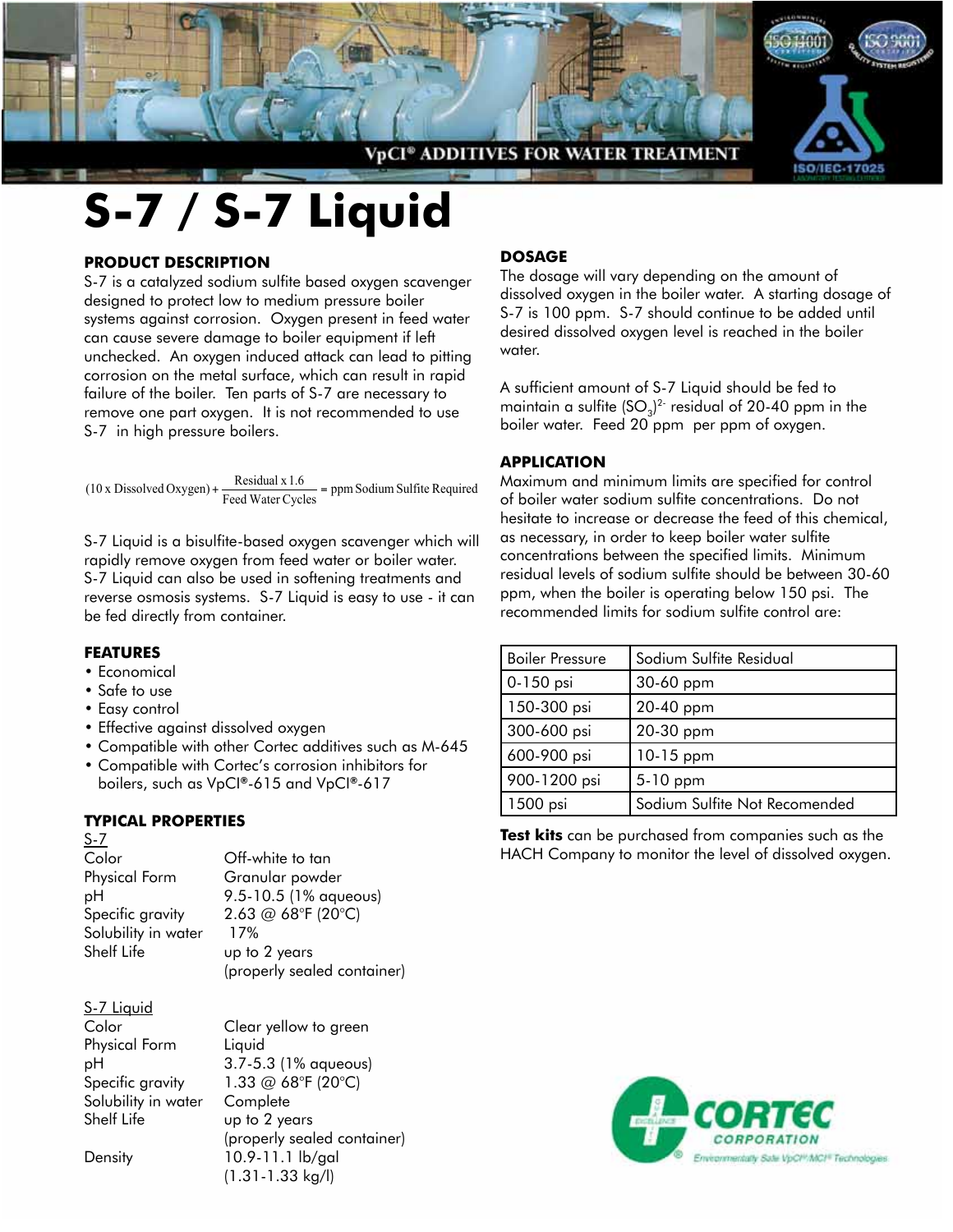

# **S-7 / S-7 Liquid**

#### **PRODUCT DESCRIPTION**

S-7 is a catalyzed sodium sulfite based oxygen scavenger designed to protect low to medium pressure boiler systems against corrosion. Oxygen present in feed water can cause severe damage to boiler equipment if left unchecked. An oxygen induced attack can lead to pitting corrosion on the metal surface, which can result in rapid failure of the boiler. Ten parts of S-7 are necessary to remove one part oxygen. It is not recommended to use S-7 in high pressure boilers.

 $(10 \times \text{Dissolved Oxygen}) + \frac{\text{Residual} \times 1.6}{\text{Feed Water Cycles}} = \text{ppm}$  Sodium Sulfite Required

S-7 Liquid is a bisulfite-based oxygen scavenger which will rapidly remove oxygen from feed water or boiler water. S-7 Liquid can also be used in softening treatments and reverse osmosis systems. S-7 Liquid is easy to use - it can be fed directly from container.

#### **Features**

- Economical
- Safe to use
- Easy control
- Effective against dissolved oxygen
- Compatible with other Cortec additives such as M-645
- Compatible with Cortec's corrosion inhibitors for boilers, such as VpCI**®**-615 and VpCI**®**-617

## **TYPICAL PROPERTIES**

S-7

Color Off-white to tan Physical Form Granular powder Solubility in water 17% Shelf Life up to 2 years

pH 9.5-10.5 (1% aqueous) Specific gravity  $2.63 \text{ } @68^\circ \text{F} (20^\circ \text{C})$ (properly sealed container)

#### S-7 Liquid

Color Clear yellow to green Physical Form Liquid Solubility in water Complete Shelf Life Up to 2 years

pH 3.7-5.3 (1% aqueous) Specific gravity  $1.33 \text{ @ } 68^{\circ}F (20^{\circ}C)$ (properly sealed container) Density 10.9-11.1 lb/gal (1.31-1.33 kg/l)

### **DOSAGE**

The dosage will vary depending on the amount of dissolved oxygen in the boiler water. A starting dosage of S-7 is 100 ppm. S-7 should continue to be added until desired dissolved oxygen level is reached in the boiler water.

A sufficient amount of S-7 Liquid should be fed to maintain a sulfite (SO $_3$ ) $^2$  residual of 20-40 ppm in the boiler water. Feed 20 ppm per ppm of oxygen.

#### **APPLICATION**

Maximum and minimum limits are specified for control of boiler water sodium sulfite concentrations. Do not hesitate to increase or decrease the feed of this chemical, as necessary, in order to keep boiler water sulfite concentrations between the specified limits. Minimum residual levels of sodium sulfite should be between 30-60 ppm, when the boiler is operating below 150 psi. The recommended limits for sodium sulfite control are:

| <b>Boiler Pressure</b> | Sodium Sulfite Residual       |
|------------------------|-------------------------------|
| 0-150 psi              | 30-60 ppm                     |
| 150-300 psi            | 20-40 ppm                     |
| 300-600 psi            | 20-30 ppm                     |
| 600-900 psi            | 10-15 ppm                     |
| 900-1200 psi           | 5-10 ppm                      |
| 1500 psi               | Sodium Sulfite Not Recomended |

**Test kits** can be purchased from companies such as the HACH Company to monitor the level of dissolved oxygen.